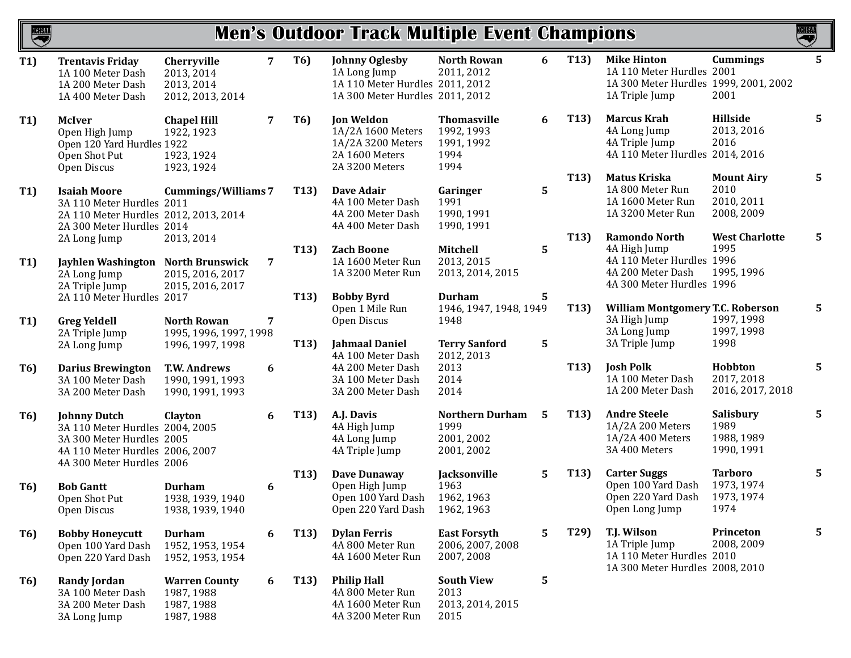| <b>Men's Outdoor Track Multiple Event Champions</b><br>NCHSAA |                                                                                                                                                     |                                                                                 |   |                   |                                                                                                             |                                                                |    |                   |                                                                                                              | <b>NCHSAA</b>                                         |                |
|---------------------------------------------------------------|-----------------------------------------------------------------------------------------------------------------------------------------------------|---------------------------------------------------------------------------------|---|-------------------|-------------------------------------------------------------------------------------------------------------|----------------------------------------------------------------|----|-------------------|--------------------------------------------------------------------------------------------------------------|-------------------------------------------------------|----------------|
| T1                                                            | <b>Trentavis Friday</b><br>1A 100 Meter Dash<br>1A 200 Meter Dash<br>1A 400 Meter Dash                                                              | Cherryville<br>2013, 2014<br>2013, 2014<br>2012, 2013, 2014                     | 7 | <b>T6)</b>        | <b>Johnny Oglesby</b><br>1A Long Jump<br>1A 110 Meter Hurdles 2011, 2012<br>1A 300 Meter Hurdles 2011, 2012 | <b>North Rowan</b><br>2011, 2012                               | 6  | T13)              | <b>Mike Hinton</b><br>1A 110 Meter Hurdles 2001<br>1A 300 Meter Hurdles 1999, 2001, 2002<br>1A Triple Jump   | <b>Cummings</b><br>2001                               | $5\phantom{1}$ |
| <b>T1)</b>                                                    | <b>McIver</b><br>Open High Jump<br>Open 120 Yard Hurdles 1922<br>Open Shot Put<br>Open Discus                                                       | <b>Chapel Hill</b><br>1922, 1923<br>1923, 1924<br>1923, 1924                    | 7 | <b>T6)</b>        | <b>Jon Weldon</b><br>1A/2A 1600 Meters<br>1A/2A 3200 Meters<br>2A 1600 Meters<br>2A 3200 Meters             | <b>Thomasville</b><br>1992, 1993<br>1991, 1992<br>1994<br>1994 | 6  | T <sub>13</sub> ) | <b>Marcus Krah</b><br>4A Long Jump<br>4A Triple Jump<br>4A 110 Meter Hurdles 2014, 2016                      | Hillside<br>2013, 2016<br>2016                        | 5              |
| <b>T1)</b>                                                    | <b>Isaiah Moore</b><br>3A 110 Meter Hurdles 2011<br>2A 110 Meter Hurdles 2012, 2013, 2014<br>2A 300 Meter Hurdles 2014                              | <b>Cummings/Williams 7</b>                                                      |   | T <sub>13</sub> ) | Dave Adair<br>4A 100 Meter Dash<br>4A 200 Meter Dash<br>4A 400 Meter Dash                                   | Garinger<br>1991<br>1990, 1991<br>1990, 1991                   | 5  | T <sub>13</sub> ) | <b>Matus Kriska</b><br>1A 800 Meter Run<br>1A 1600 Meter Run<br>1A 3200 Meter Run                            | <b>Mount Airy</b><br>2010<br>2010, 2011<br>2008, 2009 | 5              |
| T1)                                                           | 2A Long Jump<br>Jayhlen Washington<br>2A Long Jump<br>2A Triple Jump                                                                                | 2013, 2014<br><b>North Brunswick</b><br>2015, 2016, 2017<br>2015, 2016, 2017    | 7 | T <sub>13</sub> ) | <b>Zach Boone</b><br>1A 1600 Meter Run<br>1A 3200 Meter Run                                                 | Mitchell<br>2013, 2015<br>2013, 2014, 2015                     | 5  | T13)              | Ramondo North<br>4A High Jump<br>4A 110 Meter Hurdles 1996<br>4A 200 Meter Dash<br>4A 300 Meter Hurdles 1996 | <b>West Charlotte</b><br>1995<br>1995, 1996           | 5              |
| <b>T1)</b>                                                    | 2A 110 Meter Hurdles 2017<br><b>Greg Yeldell</b><br>2A Triple Jump                                                                                  | <b>North Rowan</b><br>1995, 1996, 1997, 1998                                    | 7 | T13)              | <b>Bobby Byrd</b><br>Open 1 Mile Run<br>Open Discus                                                         | <b>Durham</b><br>1946, 1947, 1948, 1949<br>1948                | 5. | T <sub>13</sub> ) | <b>William Montgomery T.C. Roberson</b><br>3A High Jump<br>3A Long Jump                                      | 1997, 1998<br>1997, 1998                              | 5              |
| T6)                                                           | 2A Long Jump<br><b>Darius Brewington</b><br>3A 100 Meter Dash<br>3A 200 Meter Dash                                                                  | 1996, 1997, 1998<br><b>T.W. Andrews</b><br>1990, 1991, 1993<br>1990, 1991, 1993 | 6 | T13)              | <b>Jahmaal Daniel</b><br>4A 100 Meter Dash<br>4A 200 Meter Dash<br>3A 100 Meter Dash<br>3A 200 Meter Dash   | <b>Terry Sanford</b><br>2012, 2013<br>2013<br>2014<br>2014     | 5  | T <sub>13</sub> ) | 3A Triple Jump<br><b>Josh Polk</b><br>1A 100 Meter Dash<br>1A 200 Meter Dash                                 | 1998<br>Hobbton<br>2017, 2018<br>2016, 2017, 2018     | 5              |
| T6)                                                           | <b>Johnny Dutch</b><br>3A 110 Meter Hurdles 2004, 2005<br>3A 300 Meter Hurdles 2005<br>4A 110 Meter Hurdles 2006, 2007<br>4A 300 Meter Hurdles 2006 | Clayton                                                                         | 6 | T13)              | A.J. Davis<br>4A High Jump<br>4A Long Jump<br>4A Triple Jump                                                | <b>Northern Durham</b><br>1999<br>2001, 2002<br>2001, 2002     | 5  | T <sub>13</sub> ) | <b>Andre Steele</b><br>1A/2A 200 Meters<br>1A/2A 400 Meters<br>3A 400 Meters                                 | Salisbury<br>1989<br>1988, 1989<br>1990, 1991         | 5              |
| T6)                                                           | <b>Bob Gantt</b><br>Open Shot Put<br>Open Discus                                                                                                    | <b>Durham</b><br>1938, 1939, 1940<br>1938, 1939, 1940                           | 6 | T13)              | <b>Dave Dunaway</b><br>Open High Jump<br>Open 100 Yard Dash<br>Open 220 Yard Dash                           | Jacksonville<br>1963<br>1962, 1963<br>1962, 1963               | 5  | T <sub>13</sub> ) | <b>Carter Suggs</b><br>Open 100 Yard Dash<br>Open 220 Yard Dash<br>Open Long Jump                            | <b>Tarboro</b><br>1973, 1974<br>1973, 1974<br>1974    | 5              |
| T6)                                                           | <b>Bobby Honeycutt</b><br>Open 100 Yard Dash<br>Open 220 Yard Dash                                                                                  | <b>Durham</b><br>1952, 1953, 1954<br>1952, 1953, 1954                           | 6 | T <sub>13</sub> ) | <b>Dylan Ferris</b><br>4A 800 Meter Run<br>4A 1600 Meter Run                                                | <b>East Forsyth</b><br>2006, 2007, 2008<br>2007, 2008          | 5  | T29)              | T.J. Wilson<br>1A Triple Jump<br>1A 110 Meter Hurdles 2010<br>1A 300 Meter Hurdles 2008, 2010                | Princeton<br>2008, 2009                               | 5              |
| T6)                                                           | <b>Randy Jordan</b><br>3A 100 Meter Dash<br>3A 200 Meter Dash<br>3A Long Jump                                                                       | <b>Warren County</b><br>1987, 1988<br>1987, 1988<br>1987, 1988                  | 6 | T <sub>13</sub> ) | <b>Philip Hall</b><br>4A 800 Meter Run<br>4A 1600 Meter Run<br>4A 3200 Meter Run                            | <b>South View</b><br>2013<br>2013, 2014, 2015<br>2015          | 5  |                   |                                                                                                              |                                                       |                |